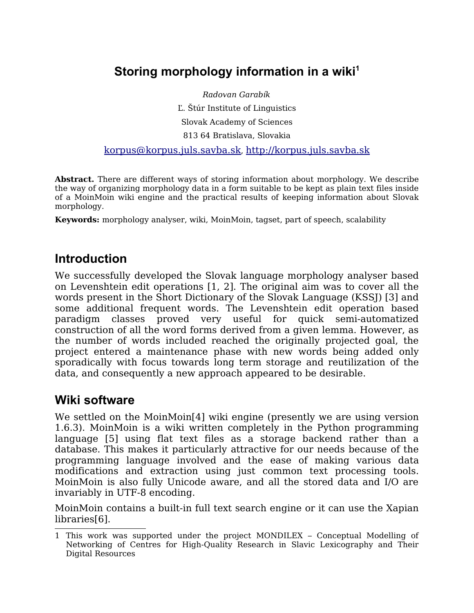# **Storing morphology information in a wiki[1](#page-0-0)**

Radovan Garabík Ľ. Štúr Institute of Linguistics Slovak Academy of Sciences 813 64 Bratislava, Slovakia

[korpus@korpus.juls.savba.sk](mailto:korpus@korpus.juls.savba.sk), [http://korpus.juls.savba.sk](http://korpus.juls.savba.sk/)

**Abstract.** There are different ways of storing information about morphology. We describe the way of organizing morphology data in a form suitable to be kept as plain text files inside of a MoinMoin wiki engine and the practical results of keeping information about Slovak morphology.

**Keywords:** morphology analyser, wiki, MoinMoin, tagset, part of speech, scalability

#### **Introduction**

We successfully developed the Slovak language morphology analyser based on Levenshtein edit operations [1, 2]. The original aim was to cover all the words present in the Short Dictionary of the Slovak Language (KSSJ) [3] and some additional frequent words. The Levenshtein edit operation based paradigm classes proved very useful for quick semi-automatized construction of all the word forms derived from a given lemma. However, as the number of words included reached the originally projected goal, the project entered a maintenance phase with new words being added only sporadically with focus towards long term storage and reutilization of the data, and consequently a new approach appeared to be desirable.

#### **Wiki software**

We settled on the MoinMoin[4] wiki engine (presently we are using version 1.6.3). MoinMoin is a wiki written completely in the Python programming language [5] using flat text files as a storage backend rather than a database. This makes it particularly attractive for our needs because of the programming language involved and the ease of making various data modifications and extraction using just common text processing tools. MoinMoin is also fully Unicode aware, and all the stored data and I/O are invariably in UTF-8 encoding.

MoinMoin contains a built-in full text search engine or it can use the Xapian libraries[6].

<span id="page-0-0"></span><sup>1</sup> This work was supported under the project MONDILEX – Conceptual Modelling of Networking of Centres for High-Quality Research in Slavic Lexicography and Their Digital Resources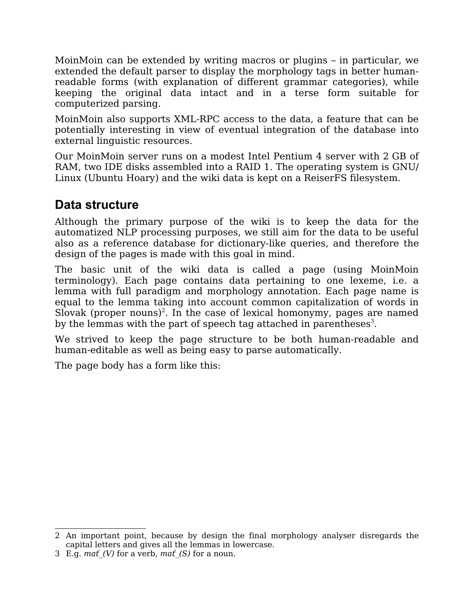MoinMoin can be extended by writing macros or plugins – in particular, we extended the default parser to display the morphology tags in better humanreadable forms (with explanation of different grammar categories), while keeping the original data intact and in a terse form suitable for computerized parsing.

MoinMoin also supports XML-RPC access to the data, a feature that can be potentially interesting in view of eventual integration of the database into external linguistic resources.

Our MoinMoin server runs on a modest Intel Pentium 4 server with 2 GB of RAM, two IDE disks assembled into a RAID 1. The operating system is GNU/ Linux (Ubuntu Hoary) and the wiki data is kept on a ReiserFS filesystem.

### **Data structure**

Although the primary purpose of the wiki is to keep the data for the automatized NLP processing purposes, we still aim for the data to be useful also as a reference database for dictionary-like queries, and therefore the design of the pages is made with this goal in mind.

The basic unit of the wiki data is called a page (using MoinMoin terminology). Each page contains data pertaining to one lexeme, i.e. a lemma with full paradigm and morphology annotation. Each page name is equal to the lemma taking into account common capitalization of words in Slovak (proper nouns)<sup>[2](#page-1-0)</sup>. In the case of lexical homonymy, pages are named by the lemmas with the part of speech tag attached in parentheses $^3$  $^3$ .

We strived to keep the page structure to be both human-readable and human-editable as well as being easy to parse automatically.

The page body has a form like this:

<span id="page-1-0"></span><sup>2</sup> An important point, because by design the final morphology analyser disregards the capital letters and gives all the lemmas in lowercase.

<span id="page-1-1"></span><sup>3</sup> E.g. mat (V) for a verb, mat (S) for a noun.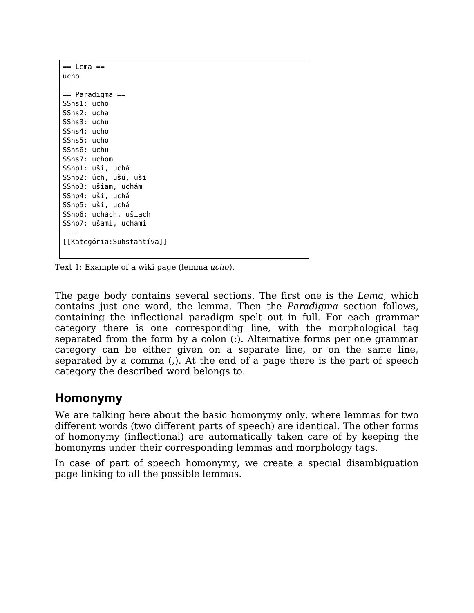| $==$ Lema $==$            |
|---------------------------|
| ucho                      |
|                           |
| == Paradigma ==           |
| SSns1: ucho               |
| SSns2: ucha               |
| SSns3: uchu               |
| SSns4: ucho               |
| SSns5: ucho               |
| SSns6: uchu               |
| SSns7: uchom              |
| SSnp1: uši, uchá          |
| SSnp2: úch, ušú, uší      |
| SSnp3: ušiam, uchám       |
| SSnp4: uši, uchá          |
| SSnp5: uši, uchá          |
| SSnp6: uchách, ušiach     |
| SSnp7: ušami, uchami      |
|                           |
| [[Kategória:Substantíva]] |
|                           |
|                           |

Text 1: Example of a wiki page (lemma ucho).

The page body contains several sections. The first one is the Lema, which contains just one word, the lemma. Then the Paradigma section follows, containing the inflectional paradigm spelt out in full. For each grammar category there is one corresponding line, with the morphological tag separated from the form by a colon (:). Alternative forms per one grammar category can be either given on a separate line, or on the same line, separated by a comma (,). At the end of a page there is the part of speech category the described word belongs to.

#### **Homonymy**

We are talking here about the basic homonymy only, where lemmas for two different words (two different parts of speech) are identical. The other forms of homonymy (inflectional) are automatically taken care of by keeping the homonyms under their corresponding lemmas and morphology tags.

In case of part of speech homonymy, we create a special disambiguation page linking to all the possible lemmas.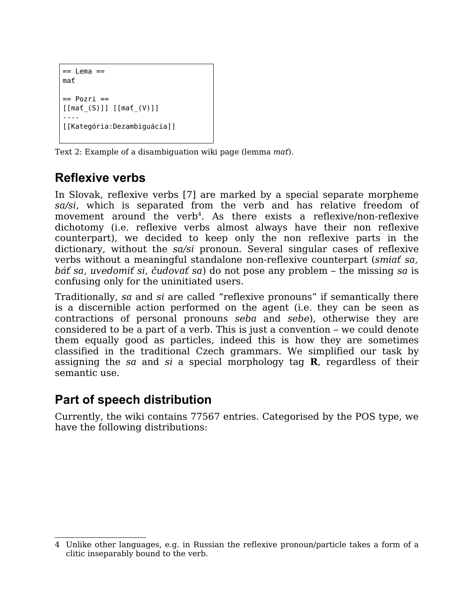```
== Lema ==
mať
== Pozri ==
[[mať_(S)]] [[mať_(V)]]
----
[[Kategória:Dezambiguácia]]
```
Text 2: Example of a disambiguation wiki page (lemma *mat*).

# **Reflexive verbs**

In Slovak, reflexive verbs [7] are marked by a special separate morpheme sa/si, which is separated from the verb and has relative freedom of movement around the verb<sup>[4](#page-3-0)</sup>. As there exists a reflexive/non-reflexive dichotomy (i.e. reflexive verbs almost always have their non reflexive counterpart), we decided to keep only the non reflexive parts in the dictionary, without the sa/si pronoun. Several singular cases of reflexive verbs without a meaningful standalone non-reflexive counterpart (smiať sa, báť sa, uvedomiť si, čudovať sa) do not pose any problem – the missing sa is confusing only for the uninitiated users.

Traditionally, sa and si are called "reflexive pronouns" if semantically there is a discernible action performed on the agent (i.e. they can be seen as contractions of personal pronouns seba and sebe), otherwise they are considered to be a part of a verb. This is just a convention – we could denote them equally good as particles, indeed this is how they are sometimes classified in the traditional Czech grammars. We simplified our task by assigning the sa and si a special morphology tag **R**, regardless of their semantic use.

## **Part of speech distribution**

Currently, the wiki contains 77567 entries. Categorised by the POS type, we have the following distributions:

<span id="page-3-0"></span><sup>4</sup> Unlike other languages, e.g. in Russian the reflexive pronoun/particle takes a form of a clitic inseparably bound to the verb.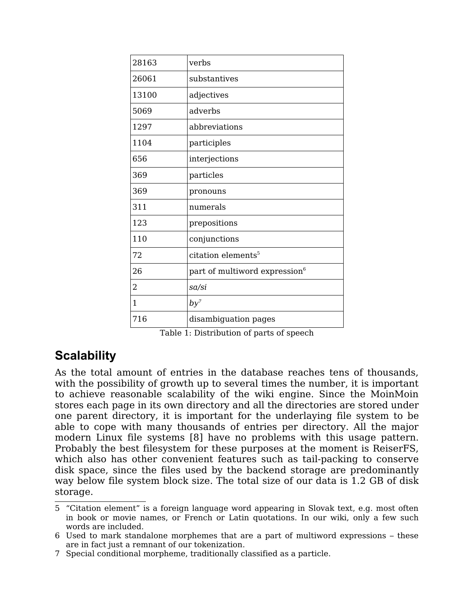| 28163 | verbs                                     |
|-------|-------------------------------------------|
| 26061 | substantives                              |
| 13100 | adjectives                                |
| 5069  | adverbs                                   |
| 1297  | abbreviations                             |
| 1104  | participles                               |
| 656   | interjections                             |
| 369   | particles                                 |
| 369   | pronouns                                  |
| 311   | numerals                                  |
| 123   | prepositions                              |
| 110   | conjunctions                              |
| 72    | citation elements <sup>5</sup>            |
| 26    | part of multiword expression <sup>6</sup> |
| 2     | sa/si                                     |
| 1     | $by^7$                                    |
| 716   | disambiguation pages                      |

Table 1: Distribution of parts of speech

## **Scalability**

As the total amount of entries in the database reaches tens of thousands, with the possibility of growth up to several times the number, it is important to achieve reasonable scalability of the wiki engine. Since the MoinMoin stores each page in its own directory and all the directories are stored under one parent directory, it is important for the underlaying file system to be able to cope with many thousands of entries per directory. All the major modern Linux file systems [8] have no problems with this usage pattern. Probably the best filesystem for these purposes at the moment is ReiserFS, which also has other convenient features such as tail-packing to conserve disk space, since the files used by the backend storage are predominantly way below file system block size. The total size of our data is 1.2 GB of disk storage.

<span id="page-4-0"></span><sup>5</sup> "Citation element" is a foreign language word appearing in Slovak text, e.g. most often in book or movie names, or French or Latin quotations. In our wiki, only a few such words are included.

<span id="page-4-1"></span><sup>6</sup> Used to mark standalone morphemes that are a part of multiword expressions – these are in fact just a remnant of our tokenization.

<span id="page-4-2"></span><sup>7</sup> Special conditional morpheme, traditionally classified as a particle.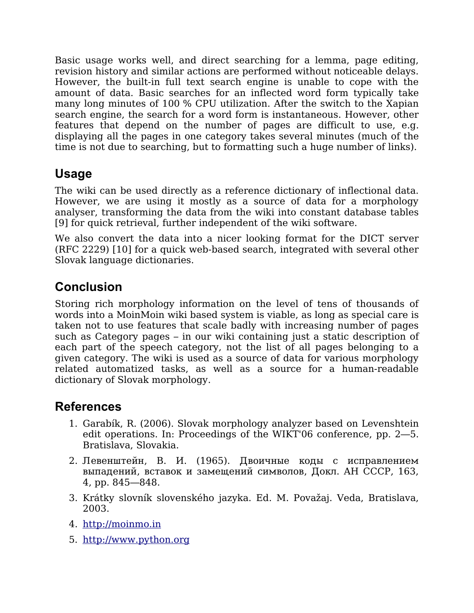Basic usage works well, and direct searching for a lemma, page editing, revision history and similar actions are performed without noticeable delays. However, the built-in full text search engine is unable to cope with the amount of data. Basic searches for an inflected word form typically take many long minutes of 100 % CPU utilization. After the switch to the Xapian search engine, the search for a word form is instantaneous. However, other features that depend on the number of pages are difficult to use, e.g. displaying all the pages in one category takes several minutes (much of the time is not due to searching, but to formatting such a huge number of links).

### **Usage**

The wiki can be used directly as a reference dictionary of inflectional data. However, we are using it mostly as a source of data for a morphology analyser, transforming the data from the wiki into constant database tables [9] for quick retrieval, further independent of the wiki software.

We also convert the data into a nicer looking format for the DICT server (RFC 2229) [10] for a quick web-based search, integrated with several other Slovak language dictionaries.

### **Conclusion**

Storing rich morphology information on the level of tens of thousands of words into a MoinMoin wiki based system is viable, as long as special care is taken not to use features that scale badly with increasing number of pages such as Category pages – in our wiki containing just a static description of each part of the speech category, not the list of all pages belonging to a given category. The wiki is used as a source of data for various morphology related automatized tasks, as well as a source for a human-readable dictionary of Slovak morphology.

### **References**

- 1. Garabík, R. (2006). Slovak morphology analyzer based on Levenshtein edit operations. In: Proceedings of the WIKT'06 conference, pp. 2—5. Bratislava, Slovakia.
- 2. Левенштейн, В. И. (1965). Двоичные коды с исправлением выпадений, вставок и замещений символов, Докл. АН СССР, 163, 4, pp. 845—848.
- 3. Krátky slovník slovenského jazyka. Ed. M. Považaj. Veda, Bratislava, 2003.
- 4. [http://moinmo.in](http://moinmo.in/)
- 5. [http://www.python.org](http://www.python.org/)